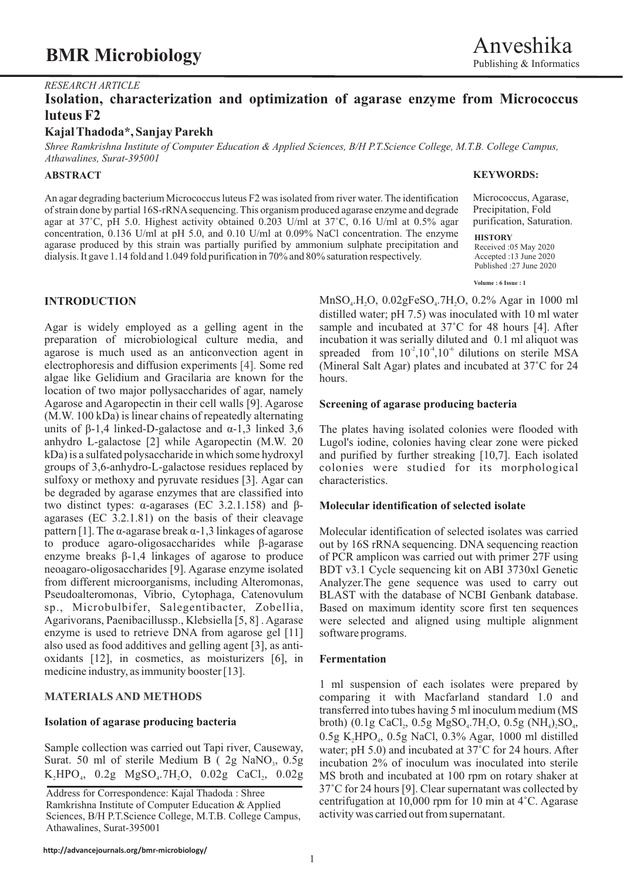## **BMR Microbiology**

### *RESEARCH ARTICLE*

### **Isolation, characterization and optimization of agarase enzyme from Micrococcus luteus F2**

### **Kajal Thadoda\*, Sanjay Parekh**

*Shree Ramkrishna Institute of Computer Education & Applied Sciences, B/H P.T.Science College, M.T.B. College Campus, Athawalines, Surat-395001*

### **ABSTRACT**

An agar degrading bacterium Micrococcus luteus F2 was isolated from river water. The identification of strain done by partial 16S-rRNAsequencing. This organism produced agarase enzyme and degrade agar at 37°C, pH 5.0. Highest activity obtained 0.203 U/ml at 37°C, 0.16 U/ml at 0.5% agar concentration, 0.136 U/ml at pH 5.0, and 0.10 U/ml at 0.09% NaCl concentration. The enzyme agarase produced by this strain was partially purified by ammonium sulphate precipitation and dialysis. It gave 1.14 fold and 1.049 fold purification in 70% and 80% saturation respectively.

preparation of microbiological culture media, and incubation it was serially diluted and 0.1 ml aliquot was agarose is much used as an anticonvection agent in spreaded from  $10^2, 10^4, 10^6$  dilutions on sterile MSA algae like Gelidium and Gracilaria are known for the hours. location of two major pollysaccharides of agar, namely Agarose and Agaropectin in their cell walls [9]. Agarose **Screening of agarase producing bacteria** (M.W. 100 kDa) is linear chains of repeatedly alternating units of  $\beta$ -1,4 linked-D-galactose and  $\alpha$ -1,3 linked 3,6 The plates having isolated colonies were flooded with anhydro L-galactose [2] while Agaropectin (M.W. 20 Lugol's iodine, colonies having clear zone were picked kDa) is a sulfated polysaccharide in which some hydroxyl and purified by further streaking [10,7]. Each isolated groups of 3,6-anhydro-L-galactose residues replaced by colonies were studied for its morphological sulfoxy or methoxy and pyruvate residues [3]. Agar can characteristics. be degraded by agarase enzymes that are classified into two distinct types: á-agarases (EC 3.2.1.158) and â- **Molecular identification of selected isolate** agarases (EC 3.2.1.81) on the basis of their cleavage pattern [1]. The  $\alpha$ -agarase break  $\alpha$ -1,3 linkages of agarose Molecular identification of selected isolates was carried to produce agaro-oligosaccharides while  $\beta$ -agarase out by 16S rRNA sequencing. DNA sequencing re enzyme breaks  $\beta$ -1,4 linkages of agarose to produce of PCR amplicon was carried out with primer 27F using neoagaro-oligosaccharides [9]. Agarase enzyme isolated BDT v3.1 Cycle sequencing kit on ABI 3730x1 Genetic from different microorganisms, including Alteromonas, Analyzer.The gene sequence was used to carry out Pseudoalteromonas, Vibrio, Cytophaga, Catenovulum BLAST with the database of NCBI Genbank database. sp., Microbulbifer, Salegentibacter, Zobellia, Based on maximum identity score first ten sequences Agarivorans, Paenibacillussp., Klebsiella [5, 8]. Agarase were selected and aligned using multiple alignment enzyme is used to retrieve DNA from agarose gel [11] software programs. also used as food additives and gelling agent [3], as antioxidants [12], in cosmetics, as moisturizers [6], in **Fermentation** medicine industry, as immunity booster [13]. electrophoresis and diffusion experiments [4]. Some red

### **MATERIALS AND METHODS**

Surat. 50 ml of sterile Medium B ( 2g NaNO<sub>3</sub>, 0.5g  $K_2HPO_4$ , 0.2g  $MgSO_4$ .7H<sub>2</sub>O, 0.02g CaCl<sub>2</sub>

### **KEYWORDS:**

Micrococcus, Agarase, Precipitation, Fold purification, Saturation.

**HISTORY**

Received :05 May 2020 Accepted :13 June 2020 Published :27 June 2020

### **Volume : 6 Issue : 1**

**INTRODUCTION** MnSO<sub>4</sub>.H<sub>2</sub>O, 0.02gFeSO<sub>4</sub>.7H<sub>2</sub>O, 0.2% Agar in 1000 ml distilled water; pH 7.5) was inoculated with 10 ml water Agar is widely employed as a gelling agent in the sample and incubated at 37°C for 48 hours [4]. After (Mineral Salt Agar) plates and incubated at  $37^{\circ}$ C for 24

colonies were studied for its morphological

out by 16S rRNA sequencing. DNA sequencing reaction BDT v3.1 Cycle sequencing kit on ABI 3730xl Genetic were selected and aligned using multiple alignment

1 ml suspension of each isolates were prepared by comparing it with Macfarland standard 1.0 and transferred into tubes having 5 ml inoculum medium (MS **Isolation of agarase producing bacteria** broth)  $(0.1g \text{ CaCl}_2, 0.5g \text{ MgSO}_4, 7H_2O, 0.5g \text{ (NH}_4), SO_4, 2H_2O)$  $0.5g$  K<sub>2</sub>HPO<sub>4</sub>,  $0.5g$  NaCl,  $0.3%$  Agar, 1000 ml distilled Sample collection was carried out Tapi river, Causeway, water; pH 5.0) and incubated at 37°C for 24 hours. After Surat. 50 ml of sterile Medium B (2g NaNO<sub>3</sub>, 0.5g incubation 2% of inoculum was inoculated into sterile MS broth and incubated at 100 rpm on rotary shaker at 37°C for 24 hours [9]. Clear supernatant was collected by centrifugation at 10,000 rpm for 10 min at 4°C. Agarase activity was carried out from supernatant.

Address for Correspondence: Kajal Thadoda : Shree Ramkrishna Institute of Computer Education & Applied Sciences, B/H P.T.Science College, M.T.B. College Campus, Athawalines, Surat-395001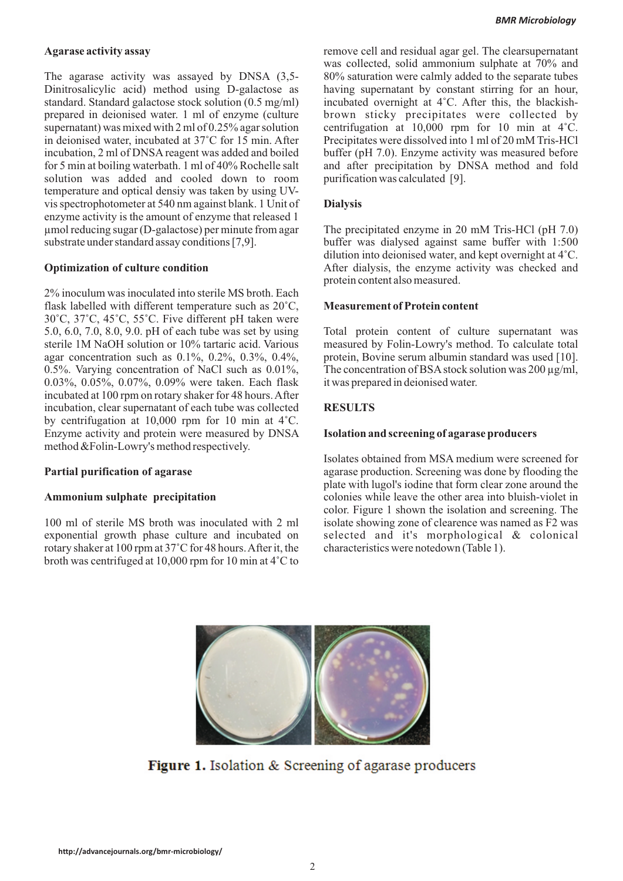The agarase activity was assayed by DNSA (3,5- 80% saturation were calmly added to the separate tubes Dinitrosalicylic acid) method using D-galactose as having supernatant by constant stirring for an hour, standard standard galactose stock solution  $(0.5 \text{ mg/ml})$  incubated overnight at 4°C. After this, the blackishstandard. Standard galactose stock solution (0.5 mg/ml) prepared in deionised water. 1 ml of enzyme (culture brown sticky precipitates were collected by supernatant) was mixed with 2 ml of  $0.25\%$  agar solution centrifugation at 10,000 rpm for 10 min at 4°C. in deionised water, incubated at 37°C for 15 min. After Precipitates were dissolved into 1 ml of 20 mM Tris-HCl incubation, 2 ml of DNSA reagent was added and boiled buffer (pH 7.0). Enzyme activity was measured before for 5 min at boiling waterbath. 1 ml of 40% Rochelle salt and after precipitation by DNSA method and fold solution was added and cooled down to room purification was calculated [9]. temperature and optical densiy was taken by using UVvis spectrophotometer at 540 nm against blank. 1 Unit of **Dialysis** enzyme activity is the amount of enzyme that released 1 µmol reducing sugar (D-galactose) per minute from agar The precipitated enzyme in 20 mM Tris-HCl (pH 7.0)

2% inoculum was inoculated into sterile MS broth. Each flask labelled with different temperature such as 20°C, **Measurement of Protein content** 30°C, 37°C, 45°C, 55°C. Five different pH taken were 5.0, 6.0, 7.0, 8.0, 9.0. pH of each tube was set by using Total protein content of culture supernatant was sterile 1M NaOH solution or 10% tartaric acid. Various measured by Folin-Lowry's method. To calculate total agar concentration such as  $0.1\%$ ,  $0.2\%$ ,  $0.3\%$ ,  $0.4\%$ , protein, Bovine serum albumin standard was used [10]. 0.5%. Varying concentration of NaCl such as  $0.01\%$ , The concentration of BSA stock solution was 200  $\mu$ g/ml, 0.03%, 0.05%, 0.07%, 0.09% were taken. Each flask it was prepared in deionised water. incubated at 100 rpm on rotary shaker for 48 hours. After incubation, clear supernatant of each tube was collected **RESULTS** by centrifugation at 10,000 rpm for 10 min at 4°C. Enzyme activity and protein were measured by DNSA **Isolation and screening of agarase producers** method &Folin-Lowry's method respectively.

100 ml of sterile MS broth was inoculated with 2 ml isolate showing zone of clearence was named as F2 was exponential growth phase culture and incubated on selected and it's morphological & colonical rotary shaker at 100 rpm at 37°C for 48 hours. After it, the characteristics were notedown (Table 1). broth was centrifuged at 10,000 rpm for 10 min at 4°C to

**Agarase activity assay** remove cell and residual agar gel. The clearsupernatant was collected, solid ammonium sulphate at 70% and and after precipitation by DNSA method and fold

substrate under standard assay conditions [7,9]. buffer was dialysed against same buffer with 1:500 dilution into deionised water, and kept overnight at 4°C. **Optimization of culture condition** After dialysis, the enzyme activity was checked and protein content also measured.

Isolates obtained from MSA medium were screened for **Partial purification of agarase** agarage agarase production. Screening was done by flooding the plate with lugol's iodine that form clear zone around the Ammonium sulphate precipitation colonies while leave the other area into bluish-violet in color. Figure 1 shown the isolation and screening. The



Figure 1. Isolation & Screening of agarase producers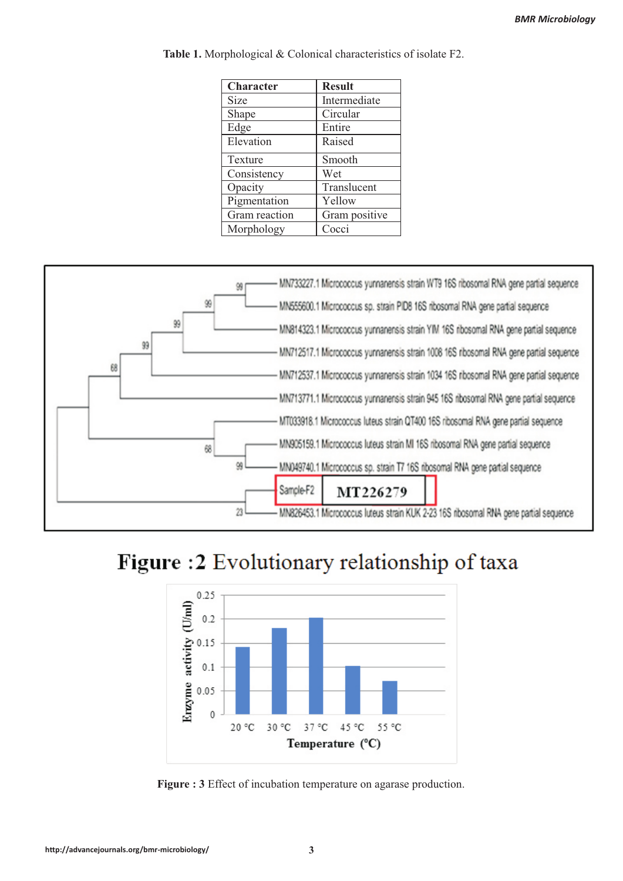| <b>Character</b> | <b>Result</b> |
|------------------|---------------|
| Size             | Intermediate  |
| Shape            | Circular      |
| Edge             | Entire        |
| Elevation        | Raised        |
| Texture          | Smooth        |
| Consistency      | Wet           |
| Opacity          | Translucent   |
| Pigmentation     | Yellow        |
| Gram reaction    | Gram positive |
| Morphology       | Cocci         |

**Table 1.** Morphological & Colonical characteristics of isolate F2.



# Figure: 2 Evolutionary relationship of taxa



**Figure : 3** Effect of incubation temperature on agarase production.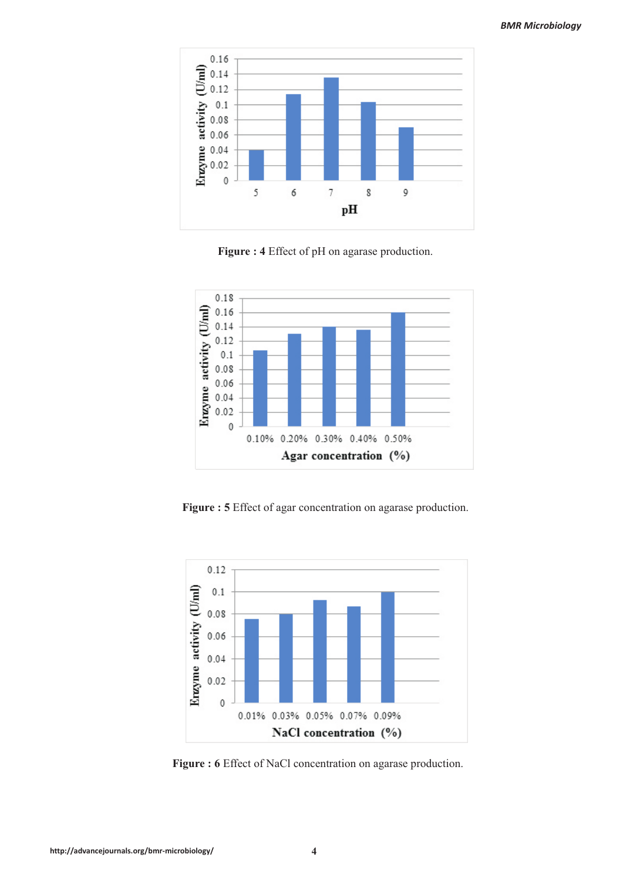

**Figure : 4** Effect of pH on agarase production.



**Figure : 5** Effect of agar concentration on agarase production.



**Figure : 6** Effect of NaCl concentration on agarase production.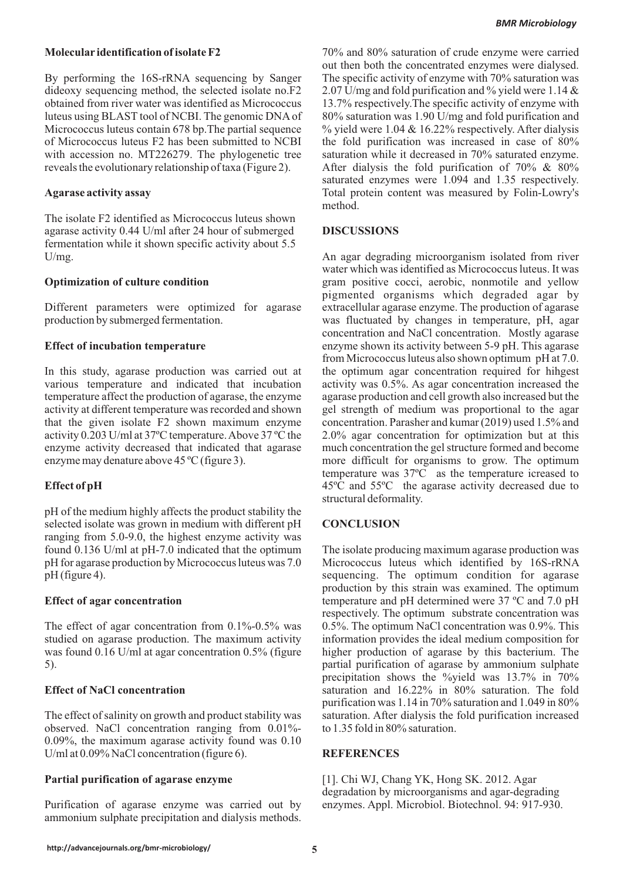By performing the 16S-rRNA sequencing by Sanger The specific activity of enzyme with 70% saturation was dideoxy sequencing method, the selected isolate no.F2 2.07 U/mg and fold purification and % yield were 1.14  $\&$ obtained from river water was identified as Micrococcus 13.7% respectively.The specific activity of enzyme with luteus using BLAST tool of NCBI. The genomic DNA of 80% saturation was 1.90 U/mg and fold purification and Micrococcus luteus contain 678 bp. The partial sequence % yield were 1.04 & 16.22% respectively. After dialysis of Micrococcus luteus F2 has been submitted to NCBI the fold purification was increased in case of 80% with accession no. MT226279. The phylogenetic tree saturation while it decreased in 70% saturated enzyme. reveals the evolutionary relationship of taxa (Figure 2). After dialysis the fold purification of 70% & 80%

The isolate F2 identified as Micrococcus luteus shown agarase activity 0.44 U/ml after 24 hour of submerged **DISCUSSIONS** fermentation while it shown specific activity about 5.5

Different parameters were optimized for agarase extracellular agarase enzyme. The production of agarase production by submerged fermentation. was fluctuated by changes in temperature, pH, agar

In this study, agarase production was carried out at the optimum agar concentration required for hihgest various temperature and indicated that incubation activity was 0.5%. As agar concentration increased the temperature affect the production of agarase, the enzyme agarase production and cell growth also increased but the activity at different temperature was recorded and shown gel strength of medium was proportional to the agar that the given isolate F2 shown maximum enzyme concentration. Parasher and kumar (2019) used 1.5% and activity 0.203 U/ml at 37ºC temperature. Above 37 ºC the 2.0% agar concentration for optimization but at this enzyme activity decreased that indicated that agarase much concentration the gel structure formed and become enzyme may denature above 45 °C (figure 3). more difficult for organisms to grow. The optimum

pH of the medium highly affects the product stability the selected isolate was grown in medium with different pH **CONCLUSION** ranging from 5.0-9.0, the highest enzyme activity was found 0.136 U/ml at pH-7.0 indicated that the optimum The isolate producing maximum agarase production was pH for agarase production by Micrococcus luteus was 7.0 Micrococcus luteus which identified by 16S-rRNA pH (figure 4). Sequencing. The optimum condition for agarase

The effect of agar concentration from  $0.1\%$ -0.5% was  $0.5\%$ . The optimum NaCl concentration was 0.9%. This studied on agarase production. The maximum activity information provides the ideal medium composition for was found 0.16 U/ml at agar concentration 0.5% (figure higher production of agarase by this bacterium. The 5). partial purification of agarase by ammonium sulphate

The effect of salinity on growth and product stability was saturation. After dialysis the fold purification increased observed. NaCl concentration ranging from 0.01%- to 1.35 fold in 80% saturation. 0.09%, the maximum agarase activity found was 0.10 U/ml at 0.09% NaCl concentration (figure 6). **REFERENCES**

Purification of agarase enzyme was carried out by enzymes. Appl. Microbiol. Biotechnol. 94: 917-930. ammonium sulphate precipitation and dialysis methods.

**Molecular identification of isolate F2** 70% and 80% saturation of crude enzyme were carried out then both the concentrated enzymes were dialysed. saturated enzymes were 1.094 and 1.35 respectively. **Agarase activity assay** Total protein content was measured by Folin-Lowry's method.

U/mg. An agar degrading microorganism isolated from river water which was identified as Micrococcus luteus. It was **Optimization of culture condition** gram positive cocci, aerobic, nonmotile and yellow pigmented organisms which degraded agar by concentration and NaCl concentration. Mostly agarase **Effect of incubation temperature** enzyme shown its activity between 5-9 pH. This agarase from Micrococcus luteus also shown optimum pH at 7.0. temperature was 37ºC as the temperature icreased to **Effect of pH** 45<sup>°</sup>C and 55<sup>°</sup>C the agarase activity decreased due to structural deformality.

production by this strain was examined. The optimum **Effect of agar concentration** temperature and pH determined were 37 °C and 7.0 pH respectively. The optimum substrate concentration was precipitation shows the %yield was 13.7% in 70% **Effect of NaCl concentration** saturation saturation and 16.22% in 80% saturation. The fold purification was 1.14 in 70% saturation and 1.049 in 80%

**Partial purification of agarase enzyme** [1]. Chi WJ, Chang YK, Hong SK. 2012. Agar degradation by microorganisms and agar-degrading